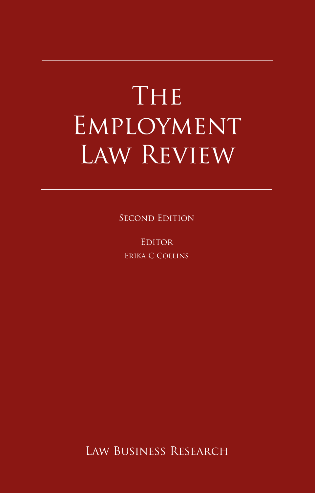# The Employment Law Review

Second Edition

**EDITOR** Erika C Collins

Law Business Research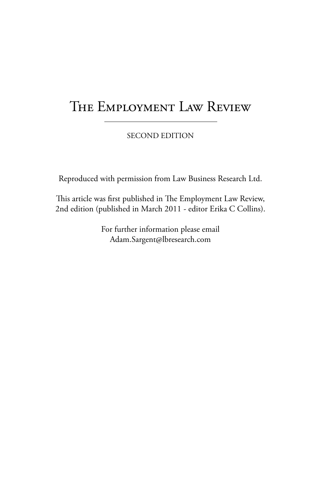# The Employment Law Review

SECOND EDITION

Reproduced with permission from Law Business Research Ltd.

This article was first published in The Employment Law Review, 2nd edition (published in March 2011 - editor Erika C Collins).

> For further information please email Adam.Sargent@lbresearch.com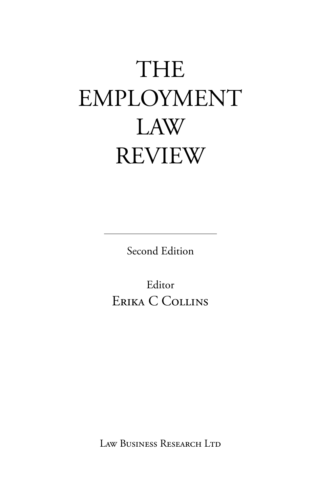# THE EMPLOYMENT LAW REVIEW

Second Edition

Editor Erika C Collins

Law Business Research Ltd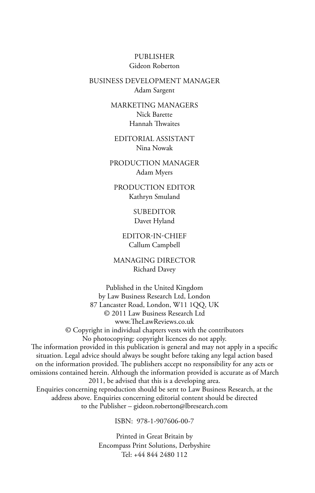Publisher Gideon Roberton

business development manager Adam Sargent

> marketing ManagerS Nick Barette Hannah Thwaites

editorial assistant Nina Nowak

production manager Adam Myers

production editor Kathryn Smuland

> **SUBEDITOR** Davet Hyland

editor-in-chief Callum Campbell

managing director Richard Davey

Published in the United Kingdom by Law Business Research Ltd, London 87 Lancaster Road, London, W11 1QQ, UK © 2011 Law Business Research Ltd www.TheLawReviews.co.uk © Copyright in individual chapters vests with the contributors No photocopying: copyright licences do not apply. The information provided in this publication is general and may not apply in a specific situation. Legal advice should always be sought before taking any legal action based on the information provided. The publishers accept no responsibility for any acts or omissions contained herein. Although the information provided is accurate as of March 2011, be advised that this is a developing area. Enquiries concerning reproduction should be sent to Law Business Research, at the address above. Enquiries concerning editorial content should be directed to the Publisher – gideon.roberton@lbresearch.com

ISBN: 978-1-907606-00-7

Printed in Great Britain by Encompass Print Solutions, Derbyshire Tel: +44 844 2480 112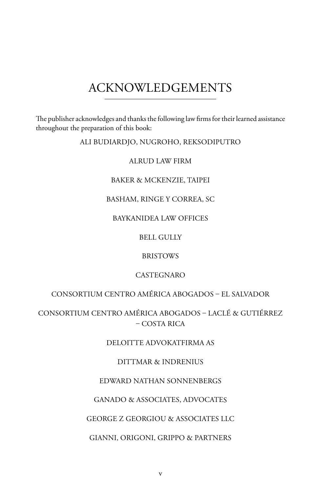# acknowledgements

The publisher acknowledges and thanks the following law firms for their learned assistance throughout the preparation of this book:

Ali Budiardjo, Nugroho, Reksodiputro

Alrud Law Firm

#### Baker & McKenzie, TAIPEI

#### BASHAM, RINGE Y CORREA, SC

### BAYKANIDEA LAW OFFICES

# Bell Gully

### **BRISTOWS**

### **CASTEGNARO**

# Consortium Centro AmÉrica Abogados – El Salvador

Consortium Centro América Abogados – Laclé & Gutiérrez  $-COSTA RICA$ 

# DELOITTE ADVOKATFIRMA AS

# Dittmar & Indrenius

# Edward Nathan Sonnenbergs

### Ganado & Associates, Advocates

#### George Z Georgiou & Associates LLC

### GIANNI, ORIGONI, GRIPPO & PARTNERS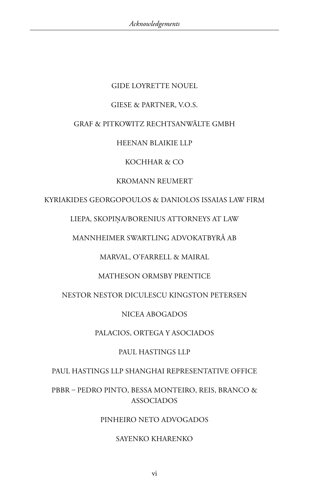# Gide Loyrette Nouel

### Giese & Partner, v.o.s.

### Graf & Pitkowitz Rechtsanwälte GmbH

## Heenan Blaikie LLP

## kochhar & co

## Kromann Reumert

# KYRIAKIDES GEORGOPOULOS & DANIOLOS ISSAIAS LAW FIRM

# LIEPA, SKOPIŅA/BORENIUS ATTORNEYS AT LAW

## Mannheimer Swartling Advokatbyrå AB

# Marval, O'Farrell & Mairal

# MATHESON ORMSBY PRENTICE

# Nestor Nestor Diculescu Kingston Petersen

# Nicea Abogados

# Palacios, Ortega y Asociados

# Paul Hastings LLP

# Paul Hastings LLP Shanghai Representative Office

# PBBR – Pedro Pinto, Bessa Monteiro, Reis, Branco & **ASSOCIADOS**

# Pinheiro Neto Advogados

# Sayenko Kharenko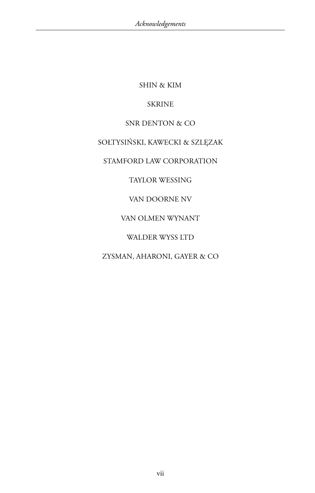Shin & Kim

# **SKRINE**

# SNR DENTON & CO

# SOŁTYSIŃSKI, KAWECKI & SZLĘZAK

# Stamford Law Corporation

# Taylor Wessing

# Van Doorne NV

# VAN OLMEN WYNANT

# WALDER WYSS LTD

# Zysman, Aharoni, Gayer & Co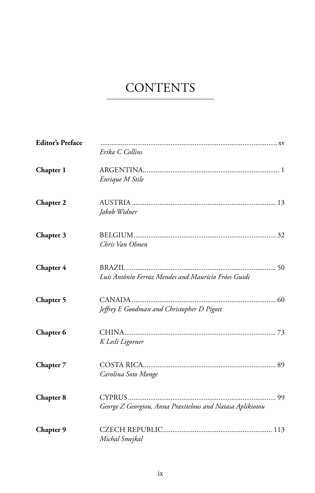# **CONTENTS**

| <b>Editor's Preface</b> | Erika C Collins                                           |
|-------------------------|-----------------------------------------------------------|
| Chapter 1               | Enrique M Stile                                           |
| Chapter 2               | Jakob Widner                                              |
| Chapter 3               | Chris Van Olmen                                           |
| Chapter 4               | Luís Antônio Ferraz Mendes and Maurício Fróes Guidi       |
| Chapter 5               | Jeffrey E Goodman and Christopher D Pigott                |
| Chapter 6               | K Lesli Ligorner                                          |
| Chapter 7               | Carolina Soto Monge                                       |
| Chapter 8               | George Z Georgiou, Anna Praxitelous and Natasa Aplikiotou |
| Chapter 9               | Michal Smejkal                                            |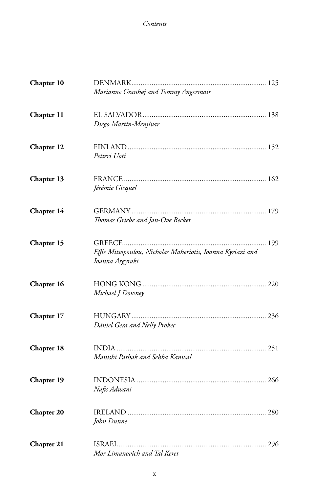| Chapter 10        |                                                                               |
|-------------------|-------------------------------------------------------------------------------|
|                   | Marianne Granhøj and Tommy Angermair                                          |
| Chapter 11        |                                                                               |
|                   | Diego Martín-Menjívar                                                         |
| Chapter 12        |                                                                               |
|                   | Petteri Uoti                                                                  |
| Chapter 13        |                                                                               |
|                   | Jérémie Gicquel                                                               |
| Chapter 14        |                                                                               |
|                   | Thomas Griebe and Jan-Ove Becker                                              |
| Chapter 15        |                                                                               |
|                   | Effie Mitsopoulou, Nicholas Maheriotis, Ioanna Kyriazi and<br>Ioanna Argyraki |
| Chapter 16        |                                                                               |
|                   | Michael J Downey                                                              |
| Chapter 17        |                                                                               |
|                   | Dániel Gera and Nelly Prokec                                                  |
| Chapter 18        |                                                                               |
|                   | Manishi Pathak and Sehba Kanwal                                               |
| Chapter 19        |                                                                               |
|                   | Nafis Adwani                                                                  |
| <b>Chapter 20</b> |                                                                               |
|                   | John Dunne                                                                    |
| <b>Chapter 21</b> |                                                                               |
|                   | Mor Limanovich and Tal Keret                                                  |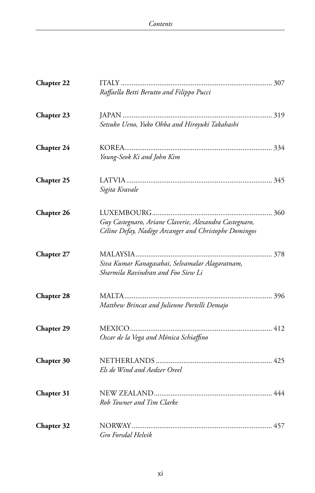| Chapter 22        |                                                                                                                 |
|-------------------|-----------------------------------------------------------------------------------------------------------------|
|                   | Raffaella Betti Berutto and Filippo Pucci                                                                       |
| Chapter 23        | Setsuko Ueno, Yuko Ohba and Hiroyuki Takahashi                                                                  |
| Chapter 24        | Young-Seok Ki and John Kim                                                                                      |
| <b>Chapter 25</b> | Sigita Kravale                                                                                                  |
| Chapter 26        | Guy Castegnaro, Ariane Claverie, Alexandra Castegnaro,<br>Céline Defay, Nadège Arcanger and Christophe Domingos |
| Chapter 27        | Siva Kumar Kanagasabai, Selvamalar Alagaratnam,<br>Sharmila Ravindran and Foo Siew Li                           |
| <b>Chapter 28</b> | Matthew Brincat and Julienne Portelli Demajo                                                                    |
| <b>Chapter 29</b> | Oscar de la Vega and Mónica Schiaffino                                                                          |
| Chapter 30        | Els de Wind and Aedzer Oreel                                                                                    |
| Chapter 31        | Rob Towner and Tim Clarke                                                                                       |
| Chapter 32        | Gro Forsdal Helvik                                                                                              |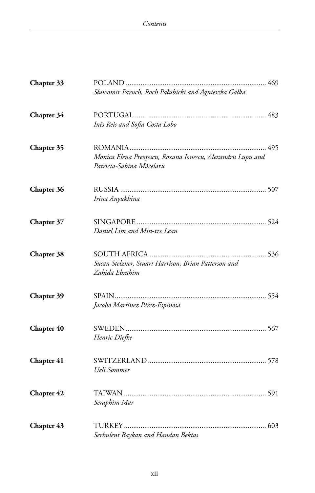| Chapter 33 | Sławomir Paruch, Roch Pałubicki and Agnieszka Gałka                                    |
|------------|----------------------------------------------------------------------------------------|
| Chapter 34 | Inês Reis and Sofia Costa Lobo                                                         |
| Chapter 35 | Monica Elena Preoțescu, Roxana Ionescu, Alexandru Lupu and<br>Patricia-Sabina Măcelaru |
| Chapter 36 | Irina Anyukhina                                                                        |
| Chapter 37 | Daniel Lim and Min-tze Lean                                                            |
| Chapter 38 | Susan Stelzner, Stuart Harrison, Brian Patterson and<br>Zahida Ebrahim                 |
| Chapter 39 | Jacobo Martínez Pérez-Espinosa                                                         |
| Chapter 40 | Henric Diefke                                                                          |
| Chapter 41 | Ueli Sommer                                                                            |
| Chapter 42 | Seraphim Mar                                                                           |
| Chapter 43 | Serbulent Baykan and Handan Bektas                                                     |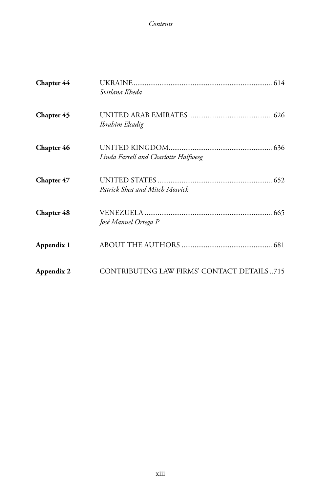| Chapter 44 | Svitlana Kheda                             |
|------------|--------------------------------------------|
| Chapter 45 | Ibrahim Elsadig                            |
| Chapter 46 | Linda Farrell and Charlotte Halfweeg       |
| Chapter 47 | Patrick Shea and Mitch Mosvick             |
| Chapter 48 | José Manuel Ortega P                       |
| Appendix 1 |                                            |
| Appendix 2 | CONTRIBUTING LAW FIRMS' CONTACT DETAILS715 |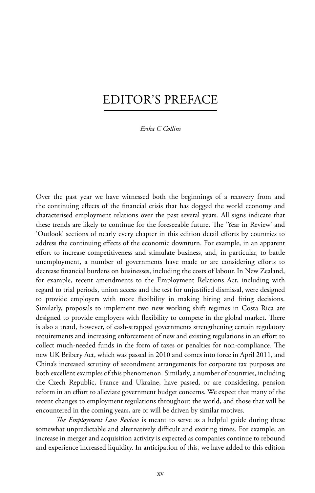# Editor's Preface

*Erika C Collins*

Over the past year we have witnessed both the beginnings of a recovery from and the continuing effects of the financial crisis that has dogged the world economy and characterised employment relations over the past several years. All signs indicate that these trends are likely to continue for the foreseeable future. The 'Year in Review' and 'Outlook' sections of nearly every chapter in this edition detail efforts by countries to address the continuing effects of the economic downturn. For example, in an apparent effort to increase competitiveness and stimulate business, and, in particular, to battle unemployment, a number of governments have made or are considering efforts to decrease financial burdens on businesses, including the costs of labour. In New Zealand, for example, recent amendments to the Employment Relations Act, including with regard to trial periods, union access and the test for unjustified dismissal, were designed to provide employers with more flexibility in making hiring and firing decisions. Similarly, proposals to implement two new working shift regimes in Costa Rica are designed to provide employers with flexibility to compete in the global market. There is also a trend, however, of cash-strapped governments strengthening certain regulatory requirements and increasing enforcement of new and existing regulations in an effort to collect much-needed funds in the form of taxes or penalties for non-compliance. The new UK Bribery Act, which was passed in 2010 and comes into force in April 2011, and China's increased scrutiny of secondment arrangements for corporate tax purposes are both excellent examples of this phenomenon. Similarly, a number of countries, including the Czech Republic, France and Ukraine, have passed, or are considering, pension reform in an effort to alleviate government budget concerns. We expect that many of the recent changes to employment regulations throughout the world, and those that will be encountered in the coming years, are or will be driven by similar motives.

*The Employment Law Review* is meant to serve as a helpful guide during these somewhat unpredictable and alternatively difficult and exciting times. For example, an increase in merger and acquisition activity is expected as companies continue to rebound and experience increased liquidity. In anticipation of this, we have added to this edition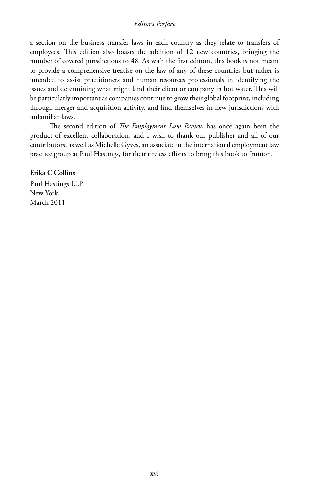a section on the business transfer laws in each country as they relate to transfers of employees. This edition also boasts the addition of 12 new countries, bringing the number of covered jurisdictions to 48. As with the first edition, this book is not meant to provide a comprehensive treatise on the law of any of these countries but rather is intended to assist practitioners and human resources professionals in identifying the issues and determining what might land their client or company in hot water. This will be particularly important as companies continue to grow their global footprint, including through merger and acquisition activity, and find themselves in new jurisdictions with unfamiliar laws.

The second edition of *The Employment Law Review* has once again been the product of excellent collaboration, and I wish to thank our publisher and all of our contributors, as well as Michelle Gyves, an associate in the international employment law practice group at Paul Hastings, for their tireless efforts to bring this book to fruition.

#### **Erika C Collins**

Paul Hastings LLP New York March 2011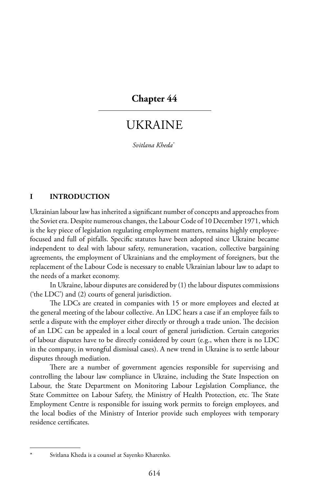# **Chapter 44**

# Ukraine

*Svitlana Kheda\**

#### **I INTRODUCTION**

Ukrainian labour law has inherited a significant number of concepts and approaches from the Soviet era. Despite numerous changes, the Labour Code of 10 December 1971, which is the key piece of legislation regulating employment matters, remains highly employeefocused and full of pitfalls. Specific statutes have been adopted since Ukraine became independent to deal with labour safety, remuneration, vacation, collective bargaining agreements, the employment of Ukrainians and the employment of foreigners, but the replacement of the Labour Code is necessary to enable Ukrainian labour law to adapt to the needs of a market economy.

In Ukraine, labour disputes are considered by (1) the labour disputes commissions ('the LDC') and (2) courts of general jurisdiction.

The LDCs are created in companies with 15 or more employees and elected at the general meeting of the labour collective. An LDC hears a case if an employee fails to settle a dispute with the employer either directly or through a trade union. The decision of an LDC can be appealed in a local court of general jurisdiction. Certain categories of labour disputes have to be directly considered by court (e.g., when there is no LDC in the company, in wrongful dismissal cases). A new trend in Ukraine is to settle labour disputes through mediation.

There are a number of government agencies responsible for supervising and controlling the labour law compliance in Ukraine, including the State Inspection on Labour, the State Department on Monitoring Labour Legislation Compliance, the State Committee on Labour Safety, the Ministry of Health Protection, etc. The State Employment Centre is responsible for issuing work permits to foreign employees, and the local bodies of the Ministry of Interior provide such employees with temporary residence certificates.

Svitlana Kheda is a counsel at Sayenko Kharenko.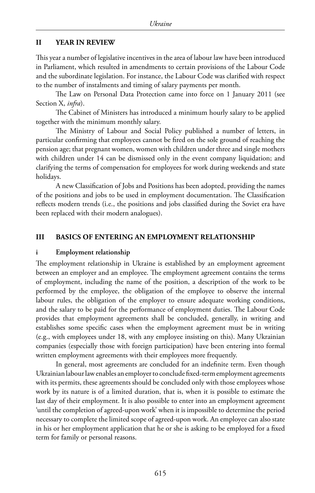#### **II YEAR IN REVIEW**

This year a number of legislative incentives in the area of labour law have been introduced in Parliament, which resulted in amendments to certain provisions of the Labour Code and the subordinate legislation. For instance, the Labour Code was clarified with respect to the number of instalments and timing of salary payments per month.

The Law on Personal Data Protection came into force on 1 January 2011 (see Section X, *infra*).

The Cabinet of Ministers has introduced a minimum hourly salary to be applied together with the minimum monthly salary.

The Ministry of Labour and Social Policy published a number of letters, in particular confirming that employees cannot be fired on the sole ground of reaching the pension age; that pregnant women, women with children under three and single mothers with children under 14 can be dismissed only in the event company liquidation; and clarifying the terms of compensation for employees for work during weekends and state holidays.

A new Classification of Jobs and Positions has been adopted, providing the names of the positions and jobs to be used in employment documentation. The Classification reflects modern trends (i.e., the positions and jobs classified during the Soviet era have been replaced with their modern analogues).

#### **III BASICS OF ENTERING AN EMPLOYMENT RELATIONSHIP**

#### **i Employment relationship**

The employment relationship in Ukraine is established by an employment agreement between an employer and an employee. The employment agreement contains the terms of employment, including the name of the position, a description of the work to be performed by the employee, the obligation of the employee to observe the internal labour rules, the obligation of the employer to ensure adequate working conditions, and the salary to be paid for the performance of employment duties. The Labour Code provides that employment agreements shall be concluded, generally, in writing and establishes some specific cases when the employment agreement must be in writing (e.g., with employees under 18, with any employee insisting on this). Many Ukrainian companies (especially those with foreign participation) have been entering into formal written employment agreements with their employees more frequently.

In general, most agreements are concluded for an indefinite term. Even though Ukrainianlabourlawenables anemployerto conclude fixed-termemployment agreements with its permits, these agreements should be concluded only with those employees whose work by its nature is of a limited duration, that is, when it is possible to estimate the last day of their employment. It is also possible to enter into an employment agreement 'until the completion of agreed-upon work' when it is impossible to determine the period necessary to complete the limited scope of agreed-upon work. An employee can also state in his or her employment application that he or she is asking to be employed for a fixed term for family or personal reasons.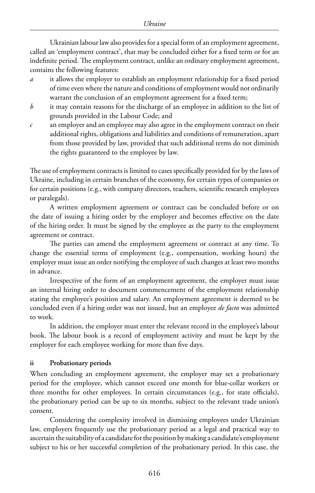Ukrainian labour law also provides for a special form of an employment agreement, called an 'employment contract', that may be concluded either for a fixed term or for an indefinite period. The employment contract, unlike an ordinary employment agreement, contains the following features:

- *a* it allows the employer to establish an employment relationship for a fixed period of time even where the nature and conditions of employment would not ordinarily warrant the conclusion of an employment agreement for a fixed term;
- *b* it may contain reasons for the discharge of an employee in addition to the list of grounds provided in the Labour Code; and
- *c* an employer and an employee may also agree in the employment contract on their additional rights, obligations and liabilities and conditions of remuneration, apart from those provided by law, provided that such additional terms do not diminish the rights guaranteed to the employee by law.

The use of employment contracts is limited to cases specifically provided for by the laws of Ukraine, including in certain branches of the economy, for certain types of companies or for certain positions (e.g., with company directors, teachers, scientific research employees or paralegals).

A written employment agreement or contract can be concluded before or on the date of issuing a hiring order by the employer and becomes effective on the date of the hiring order. It must be signed by the employee as the party to the employment agreement or contract.

The parties can amend the employment agreement or contract at any time. To change the essential terms of employment (e.g., compensation, working hours) the employer must issue an order notifying the employee of such changes at least two months in advance.

Irrespective of the form of an employment agreement, the employer must issue an internal hiring order to document commencement of the employment relationship stating the employee's position and salary. An employment agreement is deemed to be concluded even if a hiring order was not issued, but an employee *de facto* was admitted to work.

In addition, the employer must enter the relevant record in the employee's labour book. The labour book is a record of employment activity and must be kept by the employer for each employee working for more than five days.

### **ii Probationary periods**

When concluding an employment agreement, the employer may set a probationary period for the employee, which cannot exceed one month for blue-collar workers or three months for other employees. In certain circumstances (e.g., for state officials), the probationary period can be up to six months, subject to the relevant trade union's consent.

Considering the complexity involved in dismissing employees under Ukrainian law, employers frequently use the probationary period as a legal and practical way to ascertain the suitability of a candidate for the position by making a candidate's employment subject to his or her successful completion of the probationary period. In this case, the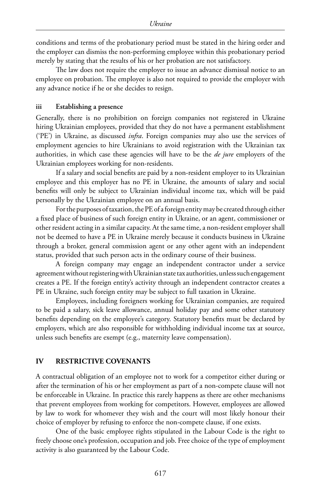conditions and terms of the probationary period must be stated in the hiring order and the employer can dismiss the non-performing employee within this probationary period merely by stating that the results of his or her probation are not satisfactory.

The law does not require the employer to issue an advance dismissal notice to an employee on probation. The employee is also not required to provide the employer with any advance notice if he or she decides to resign.

#### **iii Establishing a presence**

Generally, there is no prohibition on foreign companies not registered in Ukraine hiring Ukrainian employees, provided that they do not have a permanent establishment ('PE') in Ukraine, as discussed *infra*. Foreign companies may also use the services of employment agencies to hire Ukrainians to avoid registration with the Ukrainian tax authorities, in which case these agencies will have to be the *de jure* employers of the Ukrainian employees working for non-residents.

If a salary and social benefits are paid by a non-resident employer to its Ukrainian employee and this employer has no PE in Ukraine, the amounts of salary and social benefits will only be subject to Ukrainian individual income tax, which will be paid personally by the Ukrainian employee on an annual basis.

For the purposes of taxation, the PE of a foreign entity may be created through either a fixed place of business of such foreign entity in Ukraine, or an agent, commissioner or other resident acting in a similar capacity. At the same time, a non-resident employer shall not be deemed to have a PE in Ukraine merely because it conducts business in Ukraine through a broker, general commission agent or any other agent with an independent status, provided that such person acts in the ordinary course of their business.

A foreign company may engage an independent contractor under a service agreement without registering with Ukrainian state tax authorities, unless such engagement creates a PE. If the foreign entity's activity through an independent contractor creates a PE in Ukraine, such foreign entity may be subject to full taxation in Ukraine.

Employees, including foreigners working for Ukrainian companies, are required to be paid a salary, sick leave allowance, annual holiday pay and some other statutory benefits depending on the employee's category. Statutory benefits must be declared by employers, which are also responsible for withholding individual income tax at source, unless such benefits are exempt (e.g., maternity leave compensation).

#### **IV RESTRICTIVE COVENANTS**

A contractual obligation of an employee not to work for a competitor either during or after the termination of his or her employment as part of a non-compete clause will not be enforceable in Ukraine. In practice this rarely happens as there are other mechanisms that prevent employees from working for competitors. However, employees are allowed by law to work for whomever they wish and the court will most likely honour their choice of employer by refusing to enforce the non-compete clause, if one exists.

One of the basic employee rights stipulated in the Labour Code is the right to freely choose one's profession, occupation and job. Free choice of the type of employment activity is also guaranteed by the Labour Code.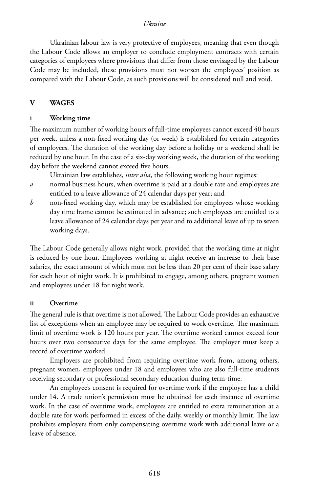Ukrainian labour law is very protective of employees, meaning that even though the Labour Code allows an employer to conclude employment contracts with certain categories of employees where provisions that differ from those envisaged by the Labour Code may be included, these provisions must not worsen the employees' position as compared with the Labour Code, as such provisions will be considered null and void.

#### **V WAGES**

#### **i Working time**

The maximum number of working hours of full-time employees cannot exceed 40 hours per week, unless a non-fixed working day (or week) is established for certain categories of employees. The duration of the working day before a holiday or a weekend shall be reduced by one hour. In the case of a six-day working week, the duration of the working day before the weekend cannot exceed five hours.

Ukrainian law establishes, *inter alia*, the following working hour regimes:

- *a* normal business hours, when overtime is paid at a double rate and employees are entitled to a leave allowance of 24 calendar days per year; and
- *b* non-fixed working day, which may be established for employees whose working day time frame cannot be estimated in advance; such employees are entitled to a leave allowance of 24 calendar days per year and to additional leave of up to seven working days.

The Labour Code generally allows night work, provided that the working time at night is reduced by one hour. Employees working at night receive an increase to their base salaries, the exact amount of which must not be less than 20 per cent of their base salary for each hour of night work. It is prohibited to engage, among others, pregnant women and employees under 18 for night work.

#### **ii Overtime**

The general rule is that overtime is not allowed. The Labour Code provides an exhaustive list of exceptions when an employee may be required to work overtime. The maximum limit of overtime work is 120 hours per year. The overtime worked cannot exceed four hours over two consecutive days for the same employee. The employer must keep a record of overtime worked.

Employers are prohibited from requiring overtime work from, among others, pregnant women, employees under 18 and employees who are also full-time students receiving secondary or professional secondary education during term-time.

An employee's consent is required for overtime work if the employee has a child under 14. A trade union's permission must be obtained for each instance of overtime work. In the case of overtime work, employees are entitled to extra remuneration at a double rate for work performed in excess of the daily, weekly or monthly limit. The law prohibits employers from only compensating overtime work with additional leave or a leave of absence.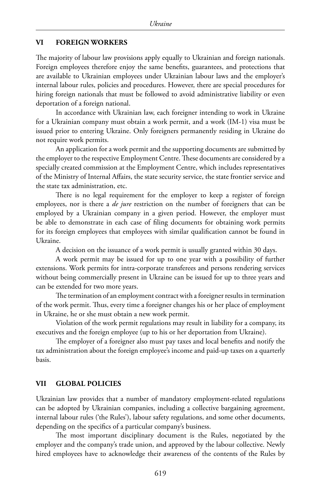#### **VI FOREIGN WORKERS**

The majority of labour law provisions apply equally to Ukrainian and foreign nationals. Foreign employees therefore enjoy the same benefits, guarantees, and protections that are available to Ukrainian employees under Ukrainian labour laws and the employer's internal labour rules, policies and procedures. However, there are special procedures for hiring foreign nationals that must be followed to avoid administrative liability or even deportation of a foreign national.

In accordance with Ukrainian law, each foreigner intending to work in Ukraine for a Ukrainian company must obtain a work permit, and a work (IM-1) visa must be issued prior to entering Ukraine. Only foreigners permanently residing in Ukraine do not require work permits.

An application for a work permit and the supporting documents are submitted by the employer to the respective Employment Centre. These documents are considered by a specially created commission at the Employment Centre, which includes representatives of the Ministry of Internal Affairs, the state security service, the state frontier service and the state tax administration, etc.

There is no legal requirement for the employer to keep a register of foreign employees, nor is there a *de jure* restriction on the number of foreigners that can be employed by a Ukrainian company in a given period. However, the employer must be able to demonstrate in each case of filing documents for obtaining work permits for its foreign employees that employees with similar qualification cannot be found in Ukraine.

A decision on the issuance of a work permit is usually granted within 30 days.

A work permit may be issued for up to one year with a possibility of further extensions. Work permits for intra-corporate transferees and persons rendering services without being commercially present in Ukraine can be issued for up to three years and can be extended for two more years.

The termination of an employment contract with a foreigner results in termination of the work permit. Thus, every time a foreigner changes his or her place of employment in Ukraine, he or she must obtain a new work permit.

Violation of the work permit regulations may result in liability for a company, its executives and the foreign employee (up to his or her deportation from Ukraine).

The employer of a foreigner also must pay taxes and local benefits and notify the tax administration about the foreign employee's income and paid-up taxes on a quarterly basis.

#### **VII GLOBAL POLICIES**

Ukrainian law provides that a number of mandatory employment-related regulations can be adopted by Ukrainian companies, including a collective bargaining agreement, internal labour rules ('the Rules'), labour safety regulations, and some other documents, depending on the specifics of a particular company's business.

The most important disciplinary document is the Rules, negotiated by the employer and the company's trade union, and approved by the labour collective. Newly hired employees have to acknowledge their awareness of the contents of the Rules by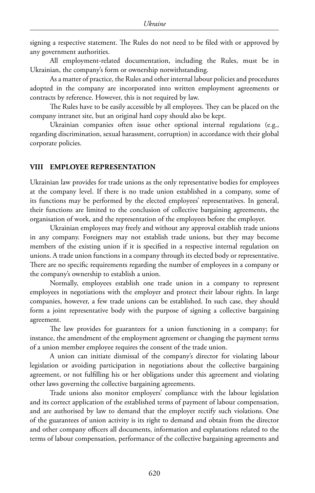signing a respective statement. The Rules do not need to be filed with or approved by any government authorities.

All employment-related documentation, including the Rules, must be in Ukrainian, the company's form or ownership notwithstanding.

As a matter of practice, the Rules and other internal labour policies and procedures adopted in the company are incorporated into written employment agreements or contracts by reference. However, this is not required by law.

The Rules have to be easily accessible by all employees. They can be placed on the company intranet site, but an original hard copy should also be kept.

Ukrainian companies often issue other optional internal regulations (e.g., regarding discrimination, sexual harassment, corruption) in accordance with their global corporate policies.

#### **VIII EMPLOYEE REPRESENTATION**

Ukrainian law provides for trade unions as the only representative bodies for employees at the company level. If there is no trade union established in a company, some of its functions may be performed by the elected employees' representatives. In general, their functions are limited to the conclusion of collective bargaining agreements, the organisation of work, and the representation of the employees before the employer.

Ukrainian employees may freely and without any approval establish trade unions in any company. Foreigners may not establish trade unions, but they may become members of the existing union if it is specified in a respective internal regulation on unions. A trade union functions in a company through its elected body or representative. There are no specific requirements regarding the number of employees in a company or the company's ownership to establish a union.

Normally, employees establish one trade union in a company to represent employees in negotiations with the employer and protect their labour rights. In large companies, however, a few trade unions can be established. In such case, they should form a joint representative body with the purpose of signing a collective bargaining agreement.

The law provides for guarantees for a union functioning in a company; for instance, the amendment of the employment agreement or changing the payment terms of a union member employee requires the consent of the trade union.

A union can initiate dismissal of the company's director for violating labour legislation or avoiding participation in negotiations about the collective bargaining agreement, or not fulfilling his or her obligations under this agreement and violating other laws governing the collective bargaining agreements.

Trade unions also monitor employers' compliance with the labour legislation and its correct application of the established terms of payment of labour compensation, and are authorised by law to demand that the employer rectify such violations. One of the guarantees of union activity is its right to demand and obtain from the director and other company officers all documents, information and explanations related to the terms of labour compensation, performance of the collective bargaining agreements and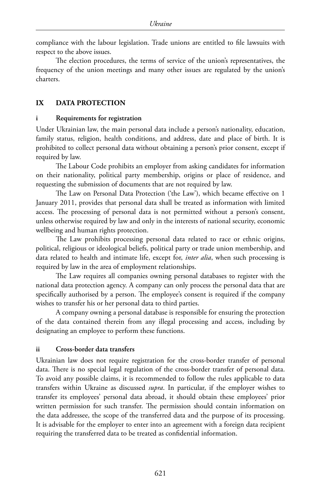compliance with the labour legislation. Trade unions are entitled to file lawsuits with respect to the above issues.

The election procedures, the terms of service of the union's representatives, the frequency of the union meetings and many other issues are regulated by the union's charters.

## **IX DATA PROTECTION**

#### **i Requirements for registration**

Under Ukrainian law, the main personal data include a person's nationality, education, family status, religion, health conditions, and address, date and place of birth. It is prohibited to collect personal data without obtaining a person's prior consent, except if required by law.

The Labour Code prohibits an employer from asking candidates for information on their nationality, political party membership, origins or place of residence, and requesting the submission of documents that are not required by law.

The Law on Personal Data Protection ('the Law'), which became effective on 1 January 2011, provides that personal data shall be treated as information with limited access. The processing of personal data is not permitted without a person's consent, unless otherwise required by law and only in the interests of national security, economic wellbeing and human rights protection.

The Law prohibits processing personal data related to race or ethnic origins, political, religious or ideological beliefs, political party or trade union membership, and data related to health and intimate life, except for, *inter alia*, when such processing is required by law in the area of employment relationships.

The Law requires all companies owning personal databases to register with the national data protection agency. A company can only process the personal data that are specifically authorised by a person. The employee's consent is required if the company wishes to transfer his or her personal data to third parties.

A company owning a personal database is responsible for ensuring the protection of the data contained therein from any illegal processing and access, including by designating an employee to perform these functions.

### **ii Cross-border data transfers**

Ukrainian law does not require registration for the cross-border transfer of personal data. There is no special legal regulation of the cross-border transfer of personal data. To avoid any possible claims, it is recommended to follow the rules applicable to data transfers within Ukraine as discussed *supra*. In particular, if the employer wishes to transfer its employees' personal data abroad, it should obtain these employees' prior written permission for such transfer. The permission should contain information on the data addressee, the scope of the transferred data and the purpose of its processing. It is advisable for the employer to enter into an agreement with a foreign data recipient requiring the transferred data to be treated as confidential information.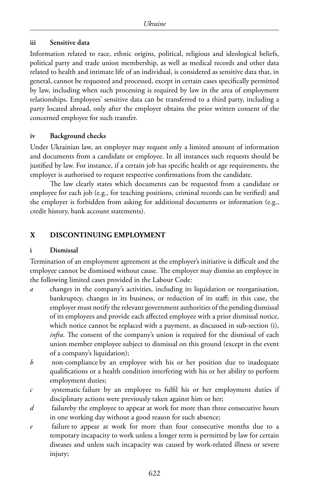### **iii Sensitive data**

Information related to race, ethnic origins, political, religious and ideological beliefs, political party and trade union membership, as well as medical records and other data related to health and intimate life of an individual, is considered as sensitive data that, in general, cannot be requested and processed, except in certain cases specifically permitted by law, including when such processing is required by law in the area of employment relationships. Employees' sensitive data can be transferred to a third party, including a party located abroad, only after the employer obtains the prior written consent of the concerned employee for such transfer.

#### **iv Background checks**

Under Ukrainian law, an employer may request only a limited amount of information and documents from a candidate or employee. In all instances such requests should be justified by law. For instance, if a certain job has specific health or age requirements, the employer is authorised to request respective confirmations from the candidate.

The law clearly states which documents can be requested from a candidate or employee for each job (e.g., for teaching positions, criminal records can be verified) and the employer is forbidden from asking for additional documents or information (e.g., credit history, bank account statements).

# **X DISCONTINUING EMPLOYMENT**

### **i Dismissal**

Termination of an employment agreement at the employer's initiative is difficult and the employee cannot be dismissed without cause. The employer may dismiss an employee in the following limited cases provided in the Labour Code:

- *a* changes in the company's activities, including its liquidation or reorganisation, bankruptcy, changes in its business, or reduction of its staff; in this case, the employer must notify the relevant government authorities of the pending dismissal of its employees and provide each affected employee with a prior dismissal notice, which notice cannot be replaced with a payment, as discussed in sub-section (i), *infra*. The consent of the company's union is required for the dismissal of each union member employee subject to dismissal on this ground (except in the event of a company's liquidation);
- *b* non-compliance by an employee with his or her position due to inadequate qualifications or a health condition interfering with his or her ability to perform employment duties;
- *c* systematic failure by an employee to fulfil his or her employment duties if disciplinary actions were previously taken against him or her;
- *d* failureby the employee to appear at work for more than three consecutive hours in one working day without a good reason for such absence;
- *e* failure to appear at work for more than four consecutive months due to a temporary incapacity to work unless a longer term is permitted by law for certain diseases and unless such incapacity was caused by work-related illness or severe injury;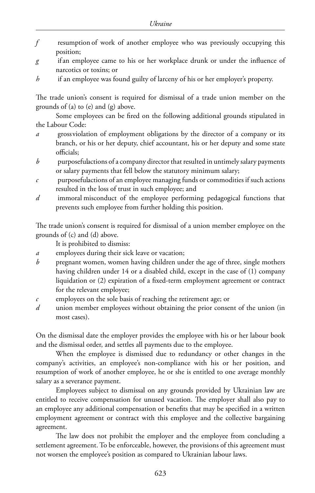- *f* resumption of work of another employee who was previously occupying this position;
- *g* if an employee came to his or her workplace drunk or under the influence of narcotics or toxins; or
- *h* if an employee was found guilty of larceny of his or her employer's property.

The trade union's consent is required for dismissal of a trade union member on the grounds of (a) to (e) and (g) above.

Some employees can be fired on the following additional grounds stipulated in the Labour Code:

- *a* grossviolation of employment obligations by the director of a company or its branch, or his or her deputy, chief accountant, his or her deputy and some state officials;
- *b* purposefulactions of a company director that resulted in untimely salary payments or salary payments that fell below the statutory minimum salary;
- *c* purposefulactions of an employee managing funds or commodities if such actions resulted in the loss of trust in such employee; and
- *d* immoral misconduct of the employee performing pedagogical functions that prevents such employee from further holding this position.

The trade union's consent is required for dismissal of a union member employee on the grounds of (c) and (d) above.

It is prohibited to dismiss:

- *a* employees during their sick leave or vacation;
- *b* pregnant women, women having children under the age of three, single mothers having children under 14 or a disabled child, except in the case of (1) company liquidation or (2) expiration of a fixed-term employment agreement or contract for the relevant employee;
- *c* employees on the sole basis of reaching the retirement age; or
- *d* union member employees without obtaining the prior consent of the union (in most cases).

On the dismissal date the employer provides the employee with his or her labour book and the dismissal order, and settles all payments due to the employee.

When the employee is dismissed due to redundancy or other changes in the company's activities, an employee's non-compliance with his or her position, and resumption of work of another employee, he or she is entitled to one average monthly salary as a severance payment.

Employees subject to dismissal on any grounds provided by Ukrainian law are entitled to receive compensation for unused vacation. The employer shall also pay to an employee any additional compensation or benefits that may be specified in a written employment agreement or contract with this employee and the collective bargaining agreement.

The law does not prohibit the employer and the employee from concluding a settlement agreement. To be enforceable, however, the provisions of this agreement must not worsen the employee's position as compared to Ukrainian labour laws.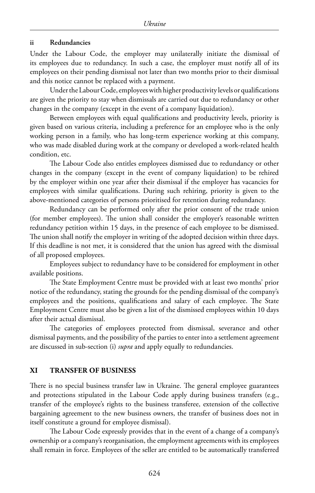#### **ii Redundancies**

Under the Labour Code, the employer may unilaterally initiate the dismissal of its employees due to redundancy. In such a case, the employer must notify all of its employees on their pending dismissal not later than two months prior to their dismissal and this notice cannot be replaced with a payment.

Under the Labour Code, employees with higher productivity levels or qualifications are given the priority to stay when dismissals are carried out due to redundancy or other changes in the company (except in the event of a company liquidation).

Between employees with equal qualifications and productivity levels, priority is given based on various criteria, including a preference for an employee who is the only working person in a family, who has long-term experience working at this company, who was made disabled during work at the company or developed a work-related health condition, etc.

The Labour Code also entitles employees dismissed due to redundancy or other changes in the company (except in the event of company liquidation) to be rehired by the employer within one year after their dismissal if the employer has vacancies for employees with similar qualifications. During such rehiring, priority is given to the above-mentioned categories of persons prioritised for retention during redundancy.

Redundancy can be performed only after the prior consent of the trade union (for member employees). The union shall consider the employer's reasonable written redundancy petition within 15 days, in the presence of each employee to be dismissed. The union shall notify the employer in writing of the adopted decision within three days. If this deadline is not met, it is considered that the union has agreed with the dismissal of all proposed employees.

Employees subject to redundancy have to be considered for employment in other available positions.

The State Employment Centre must be provided with at least two months' prior notice of the redundancy, stating the grounds for the pending dismissal of the company's employees and the positions, qualifications and salary of each employee. The State Employment Centre must also be given a list of the dismissed employees within 10 days after their actual dismissal.

The categories of employees protected from dismissal, severance and other dismissal payments, and the possibility of the parties to enter into a settlement agreement are discussed in sub-section (i) *supra* and apply equally to redundancies.

#### **XI TRANSFER OF BUSINESS**

There is no special business transfer law in Ukraine. The general employee guarantees and protections stipulated in the Labour Code apply during business transfers (e.g., transfer of the employee's rights to the business transferee, extension of the collective bargaining agreement to the new business owners, the transfer of business does not in itself constitute a ground for employee dismissal).

The Labour Code expressly provides that in the event of a change of a company's ownership or a company's reorganisation, theemployment agreements with itsemployees shall remain in force. Employees of the seller are entitled to be automatically transferred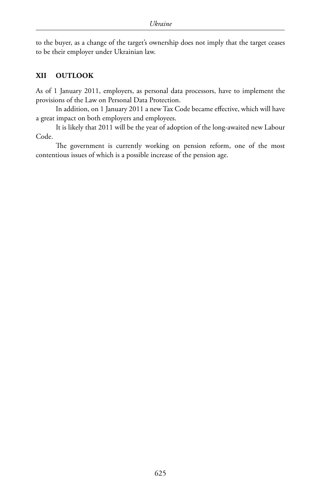to the buyer, as a change of the target's ownership does not imply that the target ceases to be their employer under Ukrainian law.

#### **XII OUTLOOK**

As of 1 January 2011, employers, as personal data processors, have to implement the provisions of the Law on Personal Data Protection.

In addition, on 1 January 2011 a new Tax Code became effective, which will have a great impact on both employers and employees.

It is likely that 2011 will be the year of adoption of the long-awaited new Labour Code.

The government is currently working on pension reform, one of the most contentious issues of which is a possible increase of the pension age.